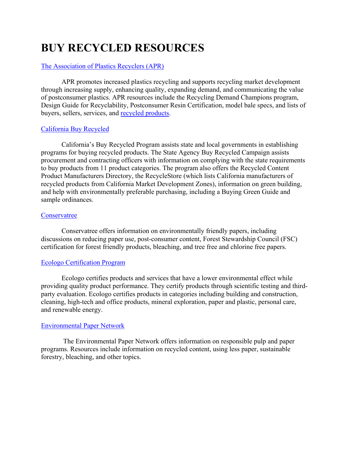# **BUY RECYCLED RESOURCES**

# The [Association of Plastics Recyclers \(APR\)](http://www.plasticsrecycling.org/)

APR promotes increased plastics recycling and supports recycling market development through increasing supply, enhancing quality, expanding demand, and communicating the value of postconsumer plastics. APR resources include the Recycling Demand Champions program, Design Guide for Recyclability, Postconsumer Resin Certification, model bale specs, and lists of buyers, sellers, services, and [recycled products.](https://plasticsrecycling.org/recycling-demand-champions/vendors)

# [California Buy Recycled](https://calrecycle.ca.gov/buyrecycled)

California's Buy Recycled Program assists state and local governments in establishing programs for buying recycled products. The State Agency Buy Recycled Campaign assists procurement and contracting officers with information on complying with the state requirements to buy products from 11 product categories. The program also offers the Recycled Content Product Manufacturers Directory, the RecycleStore (which lists California manufacturers of recycled products from California Market Development Zones), information on green building, and help with environmentally preferable purchasing, including a Buying Green Guide and sample ordinances.

## [Conservatree](http://conservatree.org/)

Conservatree offers information on environmentally friendly papers, including discussions on reducing paper use, post-consumer content, Forest Stewardship Council (FSC) certification for forest friendly products, bleaching, and tree free and chlorine free papers.

# [Ecologo Certification Program](https://www.ul.com/resources/ecologo-certification-program)

Ecologo certifies products and services that have a lower environmental effect while providing quality product performance. They certify products through scientific testing and thirdparty evaluation. Ecologo certifies products in categories including building and construction, cleaning, high-tech and office products, mineral exploration, paper and plastic, personal care, and renewable energy.

# [Environmental Paper Network](http://www.environmentalpaper.org/)

The Environmental Paper Network offers information on responsible pulp and paper programs. Resources include information on recycled content, using less paper, sustainable forestry, bleaching, and other topics.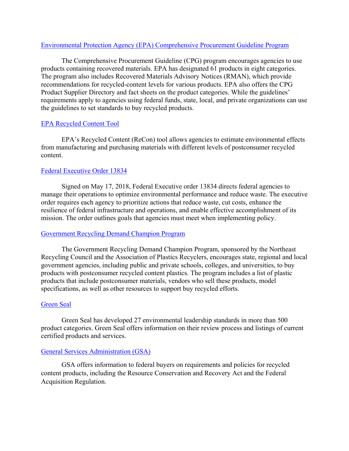#### [Environmental Protection Agency \(EPA\) Comprehensive Procurement Guideline Program](https://www.epa.gov/smm/comprehensive-procurement-guideline-cpg-program)

The Comprehensive Procurement Guideline (CPG) program encourages agencies to use products containing recovered materials. EPA has designated 61 products in eight categories. The program also includes Recovered Materials Advisory Notices (RMAN), which provide recommendations for recycled-content levels for various products. EPA also offers the CPG Product Supplier Directory and fact sheets on the product categories. While the guidelines' requirements apply to agencies using federal funds, state, local, and private organizations can use the guidelines to set standards to buy recycled products.

#### [EPA Recycled Content Tool](https://www.epa.gov/warm/recycled-content-recon-tool)

EPA's Recycled Content (ReCon) tool allows agencies to estimate environmental effects from manufacturing and purchasing materials with different levels of postconsumer recycled content.

## [Federal Executive Order 13834](https://www.govinfo.gov/content/pkg/FR-2018-05-22/pdf/2018-11101.pdf)

Signed on May 17, 2018, Federal Executive order 13834 directs federal agencies to manage their operations to optimize environmental performance and reduce waste. The executive order requires each agency to prioritize actions that reduce waste, cut costs, enhance the resilience of federal infrastructure and operations, and enable effective accomplishment of its mission. The order outlines goals that agencies must meet when implementing policy.

#### [Government Recycling Demand Champion Program](https://nerc.org/projects/government-recycling-demand-champions)

The Government Recycling Demand Champion Program, sponsored by the Northeast Recycling Council and the Association of Plastics Recyclers, encourages state, regional and local government agencies, including public and private schools, colleges, and universities, to buy products with postconsumer recycled content plastics. The program includes a list of plastic products that include postconsumer materials, vendors who sell these products, model specifications, as well as other resources to support buy recycled efforts.

#### [Green Seal](https://www.greenseal.org/)

Green Seal has developed 27 environmental leadership standards in more than 500 product categories. Green Seal offers information on their review process and listings of current certified products and services.

#### [General Services Administration \(GSA\)](https://www.gsa.gov/governmentwide-initiatives/sustainability/buy-green-products-services-and-vehicles/buy-green-products/recycled-content-products)

GSA offers information to federal buyers on requirements and policies for recycled content products, including the Resource Conservation and Recovery Act and the Federal Acquisition Regulation.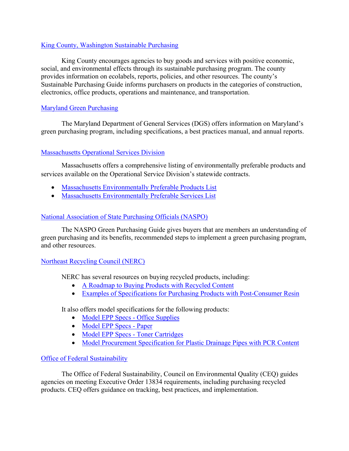## [King County, Washington Sustainable Purchasing](https://www.kingcounty.gov/depts/finance-business-operations/procurement/for-government/environmental-purchasing.aspx)

King County encourages agencies to buy goods and services with positive economic, social, and environmental effects through its sustainable purchasing program. The county provides information on ecolabels, reports, policies, and other resources. The county's Sustainable Purchasing Guide informs purchasers on products in the categories of construction, electronics, office products, operations and maintenance, and transportation.

# [Maryland Green Purchasing](https://dgs.maryland.gov/Pages/GreenPurchasing/index.aspx)

The Maryland Department of General Services (DGS) offers information on Maryland's green purchasing program, including specifications, a best practices manual, and annual reports.

# [Massachusetts Operational Services Division](https://www.mass.gov/orgs/operational-services-division)

Massachusetts offers a comprehensive listing of environmentally preferable products and services available on the Operational Service Division's statewide contracts.

- [Massachusetts Environmentally Preferable Products List](https://www.mass.gov/info-details/environmentally-preferable-products-index)
- [Massachusetts Environmentally Preferable Services List](https://www.mass.gov/info-details/environmentally-preferable-services-index)

# [National Association of State Purchasing Officials \(NASPO\)](https://www.naspo.org/green/index.html)

The NASPO Green Purchasing Guide gives buyers that are members an understanding of green purchasing and its benefits, recommended steps to implement a green purchasing program, and other resources.

# [Northeast Recycling Council \(NERC\)](http://www.nerc.org/)

NERC has several resources on buying recycled products, including:

- [A Roadmap to Buying Products with Recycled Content](https://nerc.org/documents/APR%20Champions/A%20Roadmap%20to%20Buying%20Products%20with%20Recycled%20Content.pdf)
- [Examples of Specifications for Purchasing Products with Post-Consumer Resin](https://nerc.org/documents/APR%20Champions/Specification-Examples-for-Purchasing-Products-with-Recycled-Content.pdf)

It also offers model specifications for the following products:

- [Model EPP Specs -](https://nerc.org/documents/EPP/Office%20Supplies/EPP%20Specs%20-%20Office%20Supplies.pdf) Office Supplies
- [Model EPP Specs -](https://nerc.org/documents/EPP/Paper/EPP%20Specs%20-%20Paper.pdf) Paper
- [Model EPP Specs -](https://nerc.org/documents/EPP/Toner%20Cartridges/EPP%20Specs%20-%20Toner%20Cartridges.pdf) Toner Cartridges
- [Model Procurement Specification for Plastic Drainage Pipes with PCR Content](https://nerc.org/documents/Model%20Procurement%20Specification%20for%20Plastic%20Drainage%20Pipes.pdf)

# [Office of Federal Sustainability](https://www.sustainability.gov/resources.html)

The Office of Federal Sustainability, Council on Environmental Quality (CEQ) guides agencies on meeting Executive Order 13834 requirements, including purchasing recycled products. CEQ offers guidance on tracking, best practices, and implementation.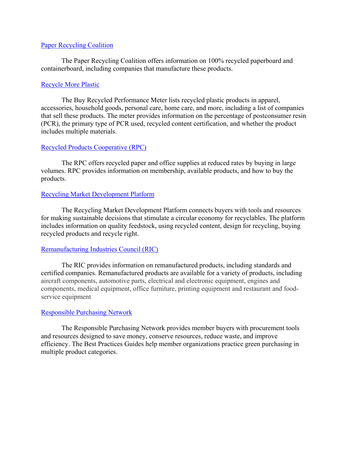#### [Paper Recycling Coalition](https://www.paperrecyclingcoalition.com/)

The Paper Recycling Coalition offers information on 100% recycled paperboard and containerboard, including companies that manufacture these products.

#### [Recycle More Plastic](https://recyclemoreplastic.org/buyrecycled)

The Buy Recycled Performance Meter lists recycled plastic products in apparel, accessories, household goods, personal care, home care, and more, including a list of companies that sell these products. The meter provides information on the percentage of postconsumer resin (PCR), the primary type of PCR used, recycled content certification, and whether the product includes multiple materials.

## [Recycled Products Cooperative](https://www.recycledproducts.org/) (RPC)

The RPC offers recycled paper and office supplies at reduced rates by buying in large volumes. RPC provides information on membership, available products, and how to buy the products.

## [Recycling Market Development Platform](https://www.circularityinaction.com/#homepage)

The Recycling Market Development Platform connects buyers with tools and resources for making sustainable decisions that stimulate a circular economy for recyclables. The platform includes information on quality feedstock, using recycled content, design for recycling, buying recycled products and recycle right.

#### [Remanufacturing Industries Council](http://www.remancouncil.org/) (RIC)

The RIC provides information on remanufactured products, including standards and certified companies. Remanufactured products are available for a variety of products, including aircraft components, automotive parts, electrical and electronic equipment, engines and components, medical equipment, office furniture, printing equipment and restaurant and foodservice equipment

#### [Responsible Purchasing Network](http://www.responsiblepurchasing.org/)

The Responsible Purchasing Network provides member buyers with procurement tools and resources designed to save money, conserve resources, reduce waste, and improve efficiency. The Best Practices Guides help member organizations practice green purchasing in multiple product categories.